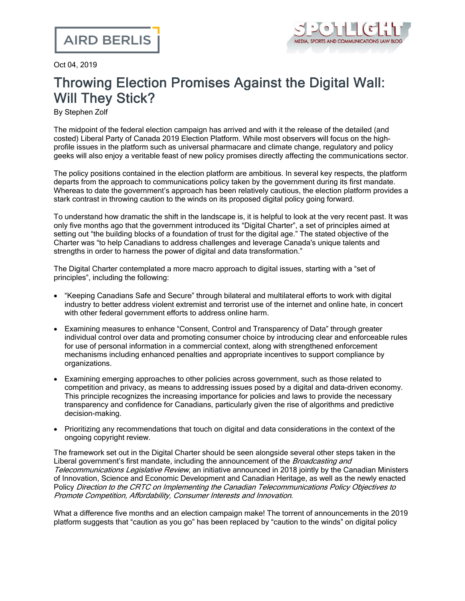

Oct 04, 2019

## Throwing Election Promises Against the Digital Wall: Will They Stick?

By Stephen Zolf

The midpoint of the federal election campaign has arrived and with it the release of the detailed (and costed) Liberal Party of Canada 2019 Election [Platform](https://2019.liberal.ca/our-platform/). While most observers will focus on the [high](https://election.ctvnews.ca/liberals-promise-billions-in-new-spending-in-2019-election-platform-1.4615849)profile [issues](https://election.ctvnews.ca/liberals-promise-billions-in-new-spending-in-2019-election-platform-1.4615849) in the platform such as universal pharmacare and climate change, regulatory and policy geeks will also enjoy a veritable feast of new policy promises directly affecting the communications sector.

The policy positions contained in the election platform are ambitious. In several key respects, the platform departs from the approach to communications policy taken by the government during its first mandate. Whereas to date the government's approach has been relatively cautious, the election platform provides a stark contrast in throwing caution to the winds on its proposed digital policy going forward.

To understand how dramatic the shift in the landscape is, it is helpful to look at the very recent past. It was only five months ago that the government introduced its "Digital [Charter"](https://www.ic.gc.ca/eic/site/062.nsf/eng/h_00109.html), a set of principles aimed at setting out "the building blocks of a foundation of trust for the digital age." The stated objective of the Charter was "to help Canadians to address challenges and leverage Canada's unique talents and strengths in order to harness the power of digital and data transformation."

The Digital Charter contemplated a more macro approach to digital issues, starting with a "set of principles", including the following:

- · "Keeping Canadians Safe and Secure" through bilateral and multilateral efforts to work with digital industry to better address violent extremist and terrorist use of the internet and online hate, in concert with other federal government efforts to address online harm.
- · Examining measures to enhance "Consent, Control and Transparency of Data" through greater individual control over data and promoting consumer choice by introducing clear and enforceable rules for use of personal information in a commercial context, along with strengthened enforcement mechanisms including enhanced penalties and appropriate incentives to support compliance by organizations.
- · Examining emerging approaches to other policies across government, such as those related to competition and privacy, as means to addressing issues posed by a digital and data-driven economy. This principle recognizes the increasing importance for policies and laws to provide the necessary transparency and confidence for Canadians, particularly given the rise of algorithms and predictive decision-making.
- · Prioritizing any recommendations that touch on digital and data considerations in the context of the ongoing copyright review.

The framework set out in the Digital Charter should be seen alongside several other steps taken in the Liberal government's first mandate, including the announcement of the *Broadcasting and* Telecommunications Legislative Review, an initiative announced in 2018 jointly by the Canadian Ministers of Innovation, Science and Economic Development and Canadian Heritage, as well as the newly enacted Policy Direction to the CRTC on Implementing the Canadian Telecommunications Policy Objectives to Promote Competition, Affordability, Consumer Interests and Innovation.

What a difference five months and an election campaign make! The torrent of announcements in the 2019 platform suggests that "caution as you go" has been replaced by "caution to the winds" on digital policy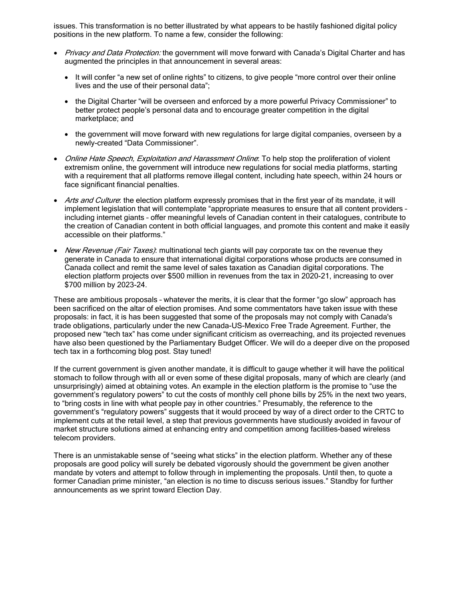issues. This transformation is no better illustrated by what appears to be hastily fashioned digital policy positions in the new platform. To name a few, consider the following:

- Privacy and Data Protection: the government will move forward with Canada's Digital Charter and has augmented the principles in that announcement in several areas:
	- It will confer "a new set of online rights" to citizens, to give people "more control over their online lives and the use of their personal data";
	- · the Digital Charter "will be overseen and enforced by a more powerful Privacy Commissioner" to better protect people's personal data and to encourage greater competition in the digital marketplace; and
	- · the government will move forward with new regulations for large digital companies, overseen by a newly-created "Data Commissioner".
- Online Hate Speech, Exploitation and Harassment Online: To help stop the proliferation of violent extremism online, the government will introduce new regulations for social media platforms, starting with a requirement that all platforms remove illegal content, including hate speech, within 24 hours or face significant financial penalties.
- Arts and Culture: the election platform expressly promises that in the first year of its mandate, it will implement legislation that will contemplate "appropriate measures to ensure that all content providers – including internet giants – offer meaningful levels of Canadian content in their catalogues, contribute to the creation of Canadian content in both official languages, and promote this content and make it easily accessible on their platforms."
- New Revenue (Fair Taxes): multinational tech giants will pay corporate tax on the revenue they generate in Canada to ensure that international digital corporations whose products are consumed in Canada collect and remit the same level of sales taxation as Canadian digital corporations. The election platform projects over \$500 million in revenues from the tax in 2020-21, increasing to over \$700 million by 2023-24.

These are ambitious proposals – whatever the merits, it is clear that the former "go slow" approach has been sacrificed on the altar of election promises. And some commentators have taken issue with these proposals: in fact, it is has been suggested that some of the proposals may not comply with Canada's trade obligations, particularly under the new [Canada-US-Mexico](https://www.theglobeandmail.com/business/commentary/article-from-innovation-to-regulation-why-the-liberals-have-lost-their-way-on/) Free Trade Agreement. Further, the proposed new "tech tax" has come under [significant](https://business.financialpost.com/news/election-2019/terence-corcoran-liberals-join-global-profit-pillaging-push-with-digital-tax-grab/amp) criticism as overreaching, and its [projected](https://www.pbo-pb.gc.ca/web/default/files/Documents/ElectionProposalCosting/Results/32977970_EN.pdf) revenues have also been [questioned](https://www.pbo-pb.gc.ca/web/default/files/Documents/ElectionProposalCosting/Results/32977970_EN.pdf) by the Parliamentary Budget Officer. We will do a deeper dive on the proposed tech tax in a forthcoming blog post. Stay tuned!

If the current government is given another mandate, it is difficult to gauge whether it will have the political stomach to follow through with all or even some of these digital proposals, many of which are clearly (and unsurprisingly) aimed at obtaining votes. An example in the election platform is the promise to "use the government's regulatory powers" to cut the costs of monthly cell phone bills by 25% in the next two years, to "bring costs in line with what people pay in other countries." Presumably, the reference to the government's "regulatory powers" suggests that it would proceed by way of a direct order to the CRTC to implement cuts at the retail level, a step that previous governments have studiously avoided in favour of market structure solutions aimed at enhancing entry and competition among facilities-based wireless telecom providers.

There is an unmistakable sense of "seeing what sticks" in the election platform. Whether any of these proposals are good policy will surely be debated vigorously should the government be given another mandate by voters and attempt to follow through in implementing the proposals. Until then, to quote a former Canadian prime minister, "an [election](https://nationalpost.com/news/politics/an-election-is-no-time-to-discuss-serious-issues-five-comments-that-sank-canadian-politicians-during-elections) is no time to discuss serious issues." Standby for further announcements as we sprint toward Election Day.